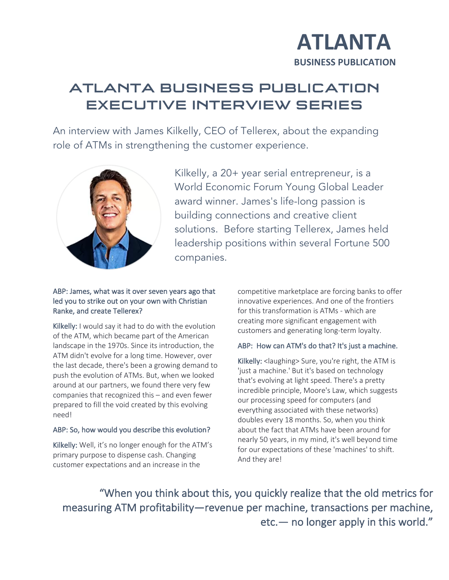# **ATLANTA**<br>BUSINESS PUBLICATION

# ATLANTA BUSINESS PUBLICATION EXECUTIVE INTERVIEW SERIES

An interview with James Kilkelly, CEO of Tellerex, about the expanding role of ATMs in strengthening the customer experience.  $J$ 



Kilkelly, a 20+ year serial entrepreneur, is a World Economic Forum Young Global Leader award winner. James's life-long passion is building connections and creative client solutions. Before starting Tellerex, James held leadership positions within several Fortune 500 companies.

#### ABP: James, what was it over seven years ago that led you to strike out on your own with Christian Ranke, and create Tellerex?

Kilkelly: I would say it had to do with the evolution of the ATM, which became part of the American landscape in the 1970s. Since its introduction, the ATM didn't evolve for a long time. However, over the last decade, there's been a growing demand to push the evolution of ATMs. But, when we looked around at our partners, we found there very few companies that recognized this – and even fewer prepared to fill the void created by this evolving need!

### ABP: So, how would you describe this evolution?

Kilkelly: Well, it's no longer enough for the ATM's primary purpose to dispense cash. Changing customer expectations and an increase in the

competitive marketplace are forcing banks to offer innovative experiences. And one of the frontiers for this transformation is ATMs - which are creating more significant engagement with customers and generating long-term loyalty.

## ABP: How can ATM's do that? It's just a machine.

Kilkelly: <laughing> Sure, you're right, the ATM is 'just a machine.' But it's based on technology that's evolving at light speed. There's a pretty incredible principle, Moore's Law, which suggests our processing speed for computers (and everything associated with these networks) doubles every 18 months. So, when you think about the fact that ATMs have been around for nearly 50 years, in my mind, it's well beyond time for our expectations of these 'machines' to shift. And they are!

"When you think about this, you quickly realize that the old metrics for measuring ATM profitability—revenue per machine, transactions per machine, etc.— no longer apply in this world."